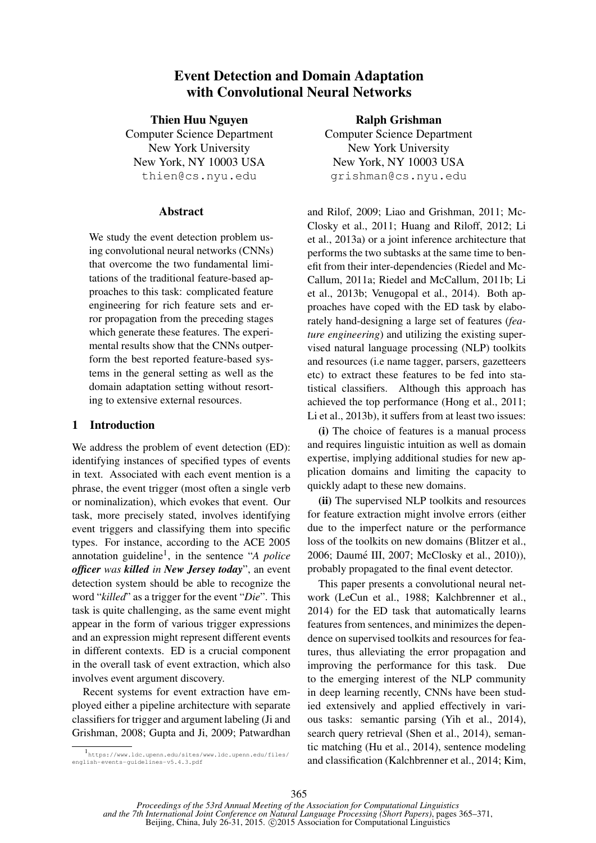# Event Detection and Domain Adaptation with Convolutional Neural Networks

Thien Huu Nguyen

Computer Science Department New York University New York, NY 10003 USA thien@cs.nyu.edu

## **Abstract**

We study the event detection problem using convolutional neural networks (CNNs) that overcome the two fundamental limitations of the traditional feature-based approaches to this task: complicated feature engineering for rich feature sets and error propagation from the preceding stages which generate these features. The experimental results show that the CNNs outperform the best reported feature-based systems in the general setting as well as the domain adaptation setting without resorting to extensive external resources.

## 1 Introduction

We address the problem of event detection (ED): identifying instances of specified types of events in text. Associated with each event mention is a phrase, the event trigger (most often a single verb or nominalization), which evokes that event. Our task, more precisely stated, involves identifying event triggers and classifying them into specific types. For instance, according to the ACE 2005 annotation guideline<sup>1</sup>, in the sentence "*A police officer was killed in New Jersey today*", an event detection system should be able to recognize the word "*killed*" as a trigger for the event "*Die*". This task is quite challenging, as the same event might appear in the form of various trigger expressions and an expression might represent different events in different contexts. ED is a crucial component in the overall task of event extraction, which also involves event argument discovery.

Recent systems for event extraction have employed either a pipeline architecture with separate classifiers for trigger and argument labeling (Ji and Grishman, 2008; Gupta and Ji, 2009; Patwardhan

## Ralph Grishman

Computer Science Department New York University New York, NY 10003 USA grishman@cs.nyu.edu

and Rilof, 2009; Liao and Grishman, 2011; Mc-Closky et al., 2011; Huang and Riloff, 2012; Li et al., 2013a) or a joint inference architecture that performs the two subtasks at the same time to benefit from their inter-dependencies (Riedel and Mc-Callum, 2011a; Riedel and McCallum, 2011b; Li et al., 2013b; Venugopal et al., 2014). Both approaches have coped with the ED task by elaborately hand-designing a large set of features (*feature engineering*) and utilizing the existing supervised natural language processing (NLP) toolkits and resources (i.e name tagger, parsers, gazetteers etc) to extract these features to be fed into statistical classifiers. Although this approach has achieved the top performance (Hong et al., 2011; Li et al., 2013b), it suffers from at least two issues:

(i) The choice of features is a manual process and requires linguistic intuition as well as domain expertise, implying additional studies for new application domains and limiting the capacity to quickly adapt to these new domains.

(ii) The supervised NLP toolkits and resources for feature extraction might involve errors (either due to the imperfect nature or the performance loss of the toolkits on new domains (Blitzer et al., 2006; Daumé III, 2007; McClosky et al., 2010)), probably propagated to the final event detector.

This paper presents a convolutional neural network (LeCun et al., 1988; Kalchbrenner et al., 2014) for the ED task that automatically learns features from sentences, and minimizes the dependence on supervised toolkits and resources for features, thus alleviating the error propagation and improving the performance for this task. Due to the emerging interest of the NLP community in deep learning recently, CNNs have been studied extensively and applied effectively in various tasks: semantic parsing (Yih et al., 2014), search query retrieval (Shen et al., 2014), semantic matching (Hu et al., 2014), sentence modeling and classification (Kalchbrenner et al., 2014; Kim,

<sup>1</sup> https://www.ldc.upenn.edu/sites/www.ldc.upenn.edu/files/ english-events-guidelines-v5.4.3.pdf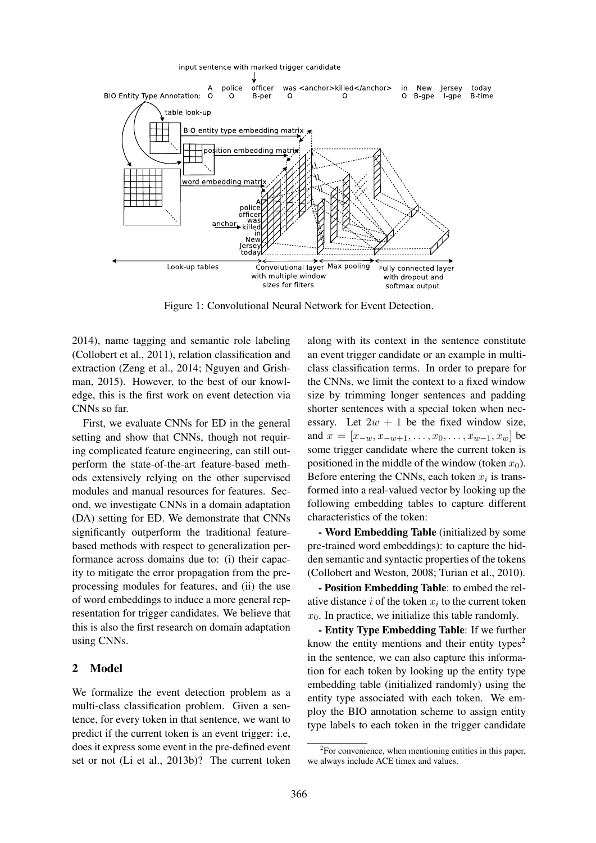

Figure 1: Convolutional Neural Network for Event Detection.

2014), name tagging and semantic role labeling (Collobert et al., 2011), relation classification and extraction (Zeng et al., 2014; Nguyen and Grishman, 2015). However, to the best of our knowledge, this is the first work on event detection via CNNs so far.

First, we evaluate CNNs for ED in the general setting and show that CNNs, though not requiring complicated feature engineering, can still outperform the state-of-the-art feature-based methods extensively relying on the other supervised modules and manual resources for features. Second, we investigate CNNs in a domain adaptation (DA) setting for ED. We demonstrate that CNNs significantly outperform the traditional featurebased methods with respect to generalization performance across domains due to: (i) their capacity to mitigate the error propagation from the preprocessing modules for features, and (ii) the use of word embeddings to induce a more general representation for trigger candidates. We believe that this is also the first research on domain adaptation using CNNs.

## 2 Model

We formalize the event detection problem as a multi-class classification problem. Given a sentence, for every token in that sentence, we want to predict if the current token is an event trigger: i.e, does it express some event in the pre-defined event set or not (Li et al., 2013b)? The current token along with its context in the sentence constitute an event trigger candidate or an example in multiclass classification terms. In order to prepare for the CNNs, we limit the context to a fixed window size by trimming longer sentences and padding shorter sentences with a special token when necessary. Let  $2w + 1$  be the fixed window size, and  $x = [x_{-w}, x_{-w+1}, \ldots, x_0, \ldots, x_{w-1}, x_w]$  be some trigger candidate where the current token is positioned in the middle of the window (token  $x_0$ ). Before entering the CNNs, each token  $x_i$  is transformed into a real-valued vector by looking up the following embedding tables to capture different characteristics of the token:

- Word Embedding Table (initialized by some pre-trained word embeddings): to capture the hidden semantic and syntactic properties of the tokens (Collobert and Weston, 2008; Turian et al., 2010).

- Position Embedding Table: to embed the relative distance  $i$  of the token  $x_i$  to the current token  $x_0$ . In practice, we initialize this table randomly.

- Entity Type Embedding Table: If we further know the entity mentions and their entity types<sup>2</sup> in the sentence, we can also capture this information for each token by looking up the entity type embedding table (initialized randomly) using the entity type associated with each token. We employ the BIO annotation scheme to assign entity type labels to each token in the trigger candidate

<sup>&</sup>lt;sup>2</sup>For convenience, when mentioning entities in this paper, we always include ACE timex and values.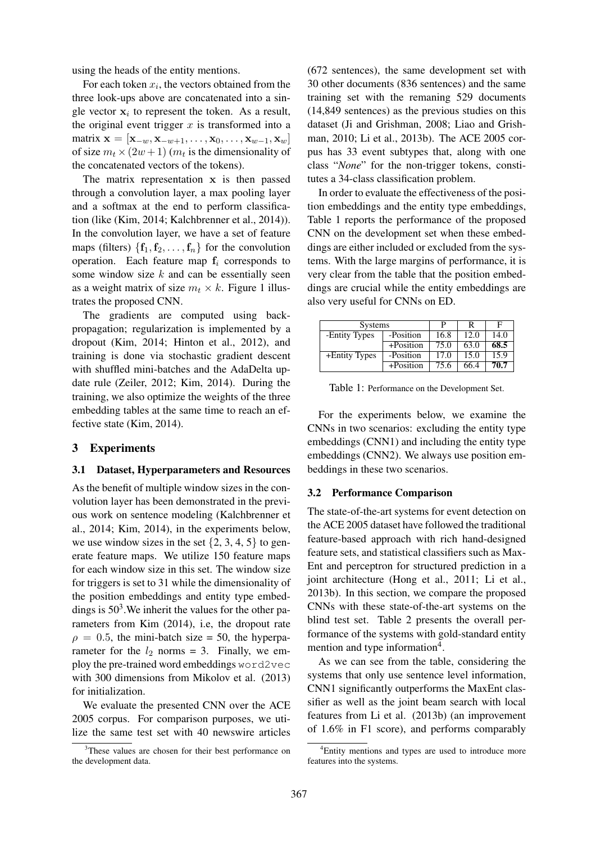using the heads of the entity mentions.

For each token  $x_i$ , the vectors obtained from the three look-ups above are concatenated into a single vector  $x_i$  to represent the token. As a result, the original event trigger  $x$  is transformed into a matrix  $\mathbf{x} = [\mathbf{x}_{-w}, \mathbf{x}_{-w+1}, \dots, \mathbf{x}_0, \dots, \mathbf{x}_{w-1}, \mathbf{x}_w]$ of size  $m_t \times (2w + 1)$  ( $m_t$  is the dimensionality of the concatenated vectors of the tokens).

The matrix representation  $x$  is then passed through a convolution layer, a max pooling layer and a softmax at the end to perform classification (like (Kim, 2014; Kalchbrenner et al., 2014)). In the convolution layer, we have a set of feature maps (filters)  $\{f_1, f_2, \ldots, f_n\}$  for the convolution operation. Each feature map  $f_i$  corresponds to some window size  $k$  and can be essentially seen as a weight matrix of size  $m_t \times k$ . Figure 1 illustrates the proposed CNN.

The gradients are computed using backpropagation; regularization is implemented by a dropout (Kim, 2014; Hinton et al., 2012), and training is done via stochastic gradient descent with shuffled mini-batches and the AdaDelta update rule (Zeiler, 2012; Kim, 2014). During the training, we also optimize the weights of the three embedding tables at the same time to reach an effective state (Kim, 2014).

## 3 Experiments

#### 3.1 Dataset, Hyperparameters and Resources

As the benefit of multiple window sizes in the convolution layer has been demonstrated in the previous work on sentence modeling (Kalchbrenner et al., 2014; Kim, 2014), in the experiments below, we use window sizes in the set  $\{2, 3, 4, 5\}$  to generate feature maps. We utilize 150 feature maps for each window size in this set. The window size for triggers is set to 31 while the dimensionality of the position embeddings and entity type embeddings is  $50<sup>3</sup>$ . We inherit the values for the other parameters from Kim (2014), i.e, the dropout rate  $\rho = 0.5$ , the mini-batch size = 50, the hyperparameter for the  $l_2$  norms = 3. Finally, we employ the pre-trained word embeddings word2vec with 300 dimensions from Mikolov et al. (2013) for initialization.

We evaluate the presented CNN over the ACE 2005 corpus. For comparison purposes, we utilize the same test set with 40 newswire articles

(672 sentences), the same development set with 30 other documents (836 sentences) and the same training set with the remaning 529 documents (14,849 sentences) as the previous studies on this dataset (Ji and Grishman, 2008; Liao and Grishman, 2010; Li et al., 2013b). The ACE 2005 corpus has 33 event subtypes that, along with one class "*None*" for the non-trigger tokens, constitutes a 34-class classification problem.

In order to evaluate the effectiveness of the position embeddings and the entity type embeddings, Table 1 reports the performance of the proposed CNN on the development set when these embeddings are either included or excluded from the systems. With the large margins of performance, it is very clear from the table that the position embeddings are crucial while the entity embeddings are also very useful for CNNs on ED.

| <b>Systems</b> |              |      | F    |      |  |
|----------------|--------------|------|------|------|--|
| -Entity Types  | -Position    | 16.8 | 12.0 | 14.0 |  |
|                | $+Position$  | 75.0 | 63.0 | 68.5 |  |
| +Entity Types  | -Position    | 17.0 | 15.0 | 15.9 |  |
|                | $+$ Position | 75.6 | 66.4 | 70.7 |  |

Table 1: Performance on the Development Set.

For the experiments below, we examine the CNNs in two scenarios: excluding the entity type embeddings (CNN1) and including the entity type embeddings (CNN2). We always use position embeddings in these two scenarios.

#### 3.2 Performance Comparison

The state-of-the-art systems for event detection on the ACE 2005 dataset have followed the traditional feature-based approach with rich hand-designed feature sets, and statistical classifiers such as Max-Ent and perceptron for structured prediction in a joint architecture (Hong et al., 2011; Li et al., 2013b). In this section, we compare the proposed CNNs with these state-of-the-art systems on the blind test set. Table 2 presents the overall performance of the systems with gold-standard entity mention and type information<sup>4</sup>.

As we can see from the table, considering the systems that only use sentence level information, CNN1 significantly outperforms the MaxEnt classifier as well as the joint beam search with local features from Li et al. (2013b) (an improvement of 1.6% in F1 score), and performs comparably

<sup>&</sup>lt;sup>3</sup>These values are chosen for their best performance on the development data.

<sup>4</sup>Entity mentions and types are used to introduce more features into the systems.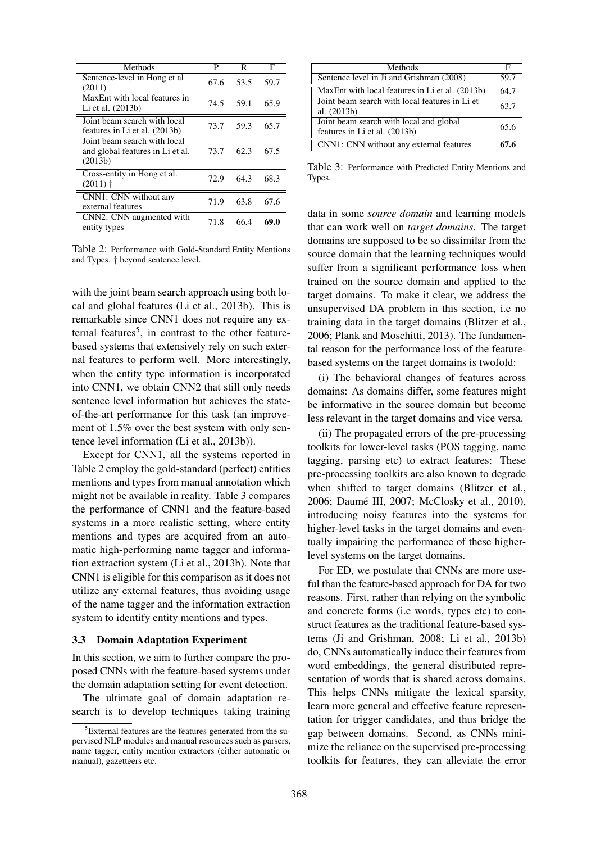| Methods                                                                     | P    | R    | F    |
|-----------------------------------------------------------------------------|------|------|------|
| Sentence-level in Hong et al<br>(2011)                                      | 67.6 | 53.5 | 59.7 |
| MaxEnt with local features in<br>Li et al. (2013b)                          | 74.5 | 59.1 | 65.9 |
| Joint beam search with local<br>features in Li et al. (2013b)               | 73.7 | 59.3 | 65.7 |
| Joint beam search with local<br>and global features in Li et al.<br>(2013b) | 73.7 | 62.3 | 67.5 |
| Cross-entity in Hong et al.<br>$(2011)$ †                                   | 72.9 | 64.3 | 68.3 |
| CNN1: CNN without any<br>external features                                  | 71.9 | 63.8 | 67.6 |
| CNN2: CNN augmented with<br>entity types                                    | 71.8 | 66.4 | 69.0 |

Table 2: Performance with Gold-Standard Entity Mentions and Types. † beyond sentence level.

with the joint beam search approach using both local and global features (Li et al., 2013b). This is remarkable since CNN1 does not require any external features<sup>5</sup>, in contrast to the other featurebased systems that extensively rely on such external features to perform well. More interestingly, when the entity type information is incorporated into CNN1, we obtain CNN2 that still only needs sentence level information but achieves the stateof-the-art performance for this task (an improvement of 1.5% over the best system with only sentence level information (Li et al., 2013b)).

Except for CNN1, all the systems reported in Table 2 employ the gold-standard (perfect) entities mentions and types from manual annotation which might not be available in reality. Table 3 compares the performance of CNN1 and the feature-based systems in a more realistic setting, where entity mentions and types are acquired from an automatic high-performing name tagger and information extraction system (Li et al., 2013b). Note that CNN1 is eligible for this comparison as it does not utilize any external features, thus avoiding usage of the name tagger and the information extraction system to identify entity mentions and types.

#### 3.3 Domain Adaptation Experiment

In this section, we aim to further compare the proposed CNNs with the feature-based systems under the domain adaptation setting for event detection.

The ultimate goal of domain adaptation research is to develop techniques taking training

| Methods                                                                  |      |  |  |
|--------------------------------------------------------------------------|------|--|--|
| Sentence level in Ji and Grishman (2008)                                 |      |  |  |
| MaxEnt with local features in Li et al. (2013b)                          | 64.7 |  |  |
| Joint beam search with local features in Li et<br>al. (2013b)            | 63.7 |  |  |
| Joint beam search with local and global<br>features in Li et al. (2013b) |      |  |  |
| CNN1: CNN without any external features                                  |      |  |  |

Table 3: Performance with Predicted Entity Mentions and Types.

data in some *source domain* and learning models that can work well on *target domains*. The target domains are supposed to be so dissimilar from the source domain that the learning techniques would suffer from a significant performance loss when trained on the source domain and applied to the target domains. To make it clear, we address the unsupervised DA problem in this section, i.e no training data in the target domains (Blitzer et al., 2006; Plank and Moschitti, 2013). The fundamental reason for the performance loss of the featurebased systems on the target domains is twofold:

(i) The behavioral changes of features across domains: As domains differ, some features might be informative in the source domain but become less relevant in the target domains and vice versa.

(ii) The propagated errors of the pre-processing toolkits for lower-level tasks (POS tagging, name tagging, parsing etc) to extract features: These pre-processing toolkits are also known to degrade when shifted to target domains (Blitzer et al., 2006; Daumé III, 2007; McClosky et al., 2010), introducing noisy features into the systems for higher-level tasks in the target domains and eventually impairing the performance of these higherlevel systems on the target domains.

For ED, we postulate that CNNs are more useful than the feature-based approach for DA for two reasons. First, rather than relying on the symbolic and concrete forms (i.e words, types etc) to construct features as the traditional feature-based systems (Ji and Grishman, 2008; Li et al., 2013b) do, CNNs automatically induce their features from word embeddings, the general distributed representation of words that is shared across domains. This helps CNNs mitigate the lexical sparsity, learn more general and effective feature representation for trigger candidates, and thus bridge the gap between domains. Second, as CNNs minimize the reliance on the supervised pre-processing toolkits for features, they can alleviate the error

<sup>&</sup>lt;sup>5</sup>External features are the features generated from the supervised NLP modules and manual resources such as parsers, name tagger, entity mention extractors (either automatic or manual), gazetteers etc.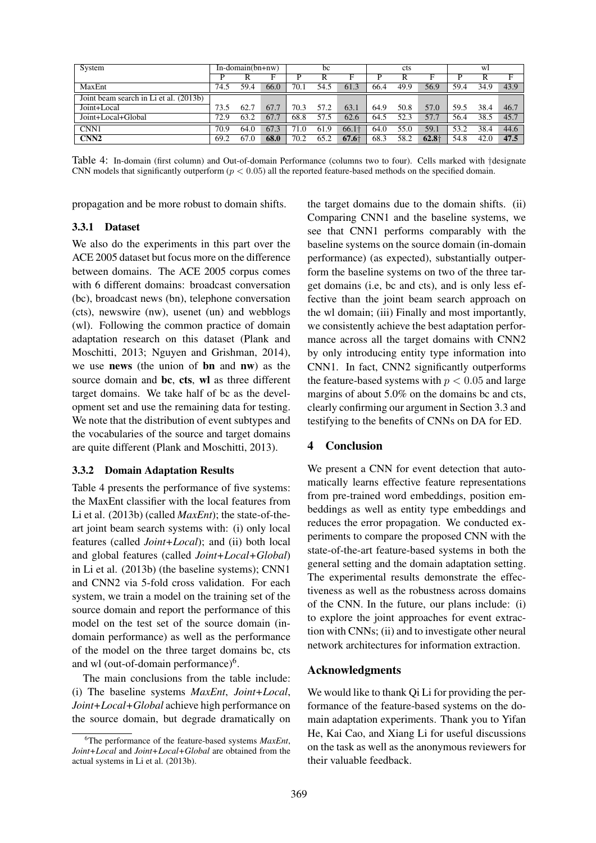| System                                 | $In-domain(bn+nw)$ |      | bc   |                | cts  |                   |      | wl   |         |      |      |      |
|----------------------------------------|--------------------|------|------|----------------|------|-------------------|------|------|---------|------|------|------|
|                                        |                    |      |      | D              |      | F                 |      |      |         |      |      | F    |
| MaxEnt                                 | 74.5               | 59.4 | 66.0 | 70.1           | 54.5 | 61.3              | 66.4 | 49.9 | 56.9    | 59.4 | 34.9 | 43.9 |
| Joint beam search in Li et al. (2013b) |                    |      |      |                |      |                   |      |      |         |      |      |      |
| Joint+Local                            | 73.5               | 62.7 | 67.7 | 70.3           | 57.2 | 63.1              | 64.9 | 50.8 | 57.0    | 59.5 | 38.4 | 46.7 |
| Joint+Local+Global                     | 72.9               | 63.2 | 67.7 | 68.8           | 57.5 | 62.6              | 64.5 | 52.3 | 57.7    | 56.4 | 38.5 | 45.7 |
| CNN1                                   | 70.9               | 64.0 | 67.3 | $^{\prime}1.0$ | 61.9 | 66.1 <sup>+</sup> | 64.0 | 55.0 | 59.1    | 53.2 | 38.4 | 44.6 |
| CNN <sub>2</sub>                       | 69.2               | 67.0 | 68.0 | 70.2           | 65.2 | $67.6\dagger$     | 68.3 | 58.2 | $62.8+$ | 54.8 | 42.0 | 47.5 |

Table 4: In-domain (first column) and Out-of-domain Performance (columns two to four). Cells marked with †designate CNN models that significantly outperform ( $p < 0.05$ ) all the reported feature-based methods on the specified domain.

propagation and be more robust to domain shifts.

#### 3.3.1 Dataset

We also do the experiments in this part over the ACE 2005 dataset but focus more on the difference between domains. The ACE 2005 corpus comes with 6 different domains: broadcast conversation (bc), broadcast news (bn), telephone conversation (cts), newswire (nw), usenet (un) and webblogs (wl). Following the common practice of domain adaptation research on this dataset (Plank and Moschitti, 2013; Nguyen and Grishman, 2014), we use news (the union of bn and nw) as the source domain and bc, cts, wl as three different target domains. We take half of bc as the development set and use the remaining data for testing. We note that the distribution of event subtypes and the vocabularies of the source and target domains are quite different (Plank and Moschitti, 2013).

#### 3.3.2 Domain Adaptation Results

Table 4 presents the performance of five systems: the MaxEnt classifier with the local features from Li et al. (2013b) (called *MaxEnt*); the state-of-theart joint beam search systems with: (i) only local features (called *Joint+Local*); and (ii) both local and global features (called *Joint+Local+Global*) in Li et al. (2013b) (the baseline systems); CNN1 and CNN2 via 5-fold cross validation. For each system, we train a model on the training set of the source domain and report the performance of this model on the test set of the source domain (indomain performance) as well as the performance of the model on the three target domains bc, cts and wl (out-of-domain performance)<sup>6</sup>.

The main conclusions from the table include: (i) The baseline systems *MaxEnt*, *Joint+Local*, *Joint+Local+Global* achieve high performance on the source domain, but degrade dramatically on the target domains due to the domain shifts. (ii) Comparing CNN1 and the baseline systems, we see that CNN1 performs comparably with the baseline systems on the source domain (in-domain performance) (as expected), substantially outperform the baseline systems on two of the three target domains (i.e, bc and cts), and is only less effective than the joint beam search approach on the wl domain; (iii) Finally and most importantly, we consistently achieve the best adaptation performance across all the target domains with CNN2 by only introducing entity type information into CNN1. In fact, CNN2 significantly outperforms the feature-based systems with  $p < 0.05$  and large margins of about 5.0% on the domains bc and cts, clearly confirming our argument in Section 3.3 and testifying to the benefits of CNNs on DA for ED.

## 4 Conclusion

We present a CNN for event detection that automatically learns effective feature representations from pre-trained word embeddings, position embeddings as well as entity type embeddings and reduces the error propagation. We conducted experiments to compare the proposed CNN with the state-of-the-art feature-based systems in both the general setting and the domain adaptation setting. The experimental results demonstrate the effectiveness as well as the robustness across domains of the CNN. In the future, our plans include: (i) to explore the joint approaches for event extraction with CNNs; (ii) and to investigate other neural network architectures for information extraction.

#### Acknowledgments

We would like to thank Qi Li for providing the performance of the feature-based systems on the domain adaptation experiments. Thank you to Yifan He, Kai Cao, and Xiang Li for useful discussions on the task as well as the anonymous reviewers for their valuable feedback.

<sup>6</sup>The performance of the feature-based systems *MaxEnt*, *Joint+Local* and *Joint+Local+Global* are obtained from the actual systems in Li et al. (2013b).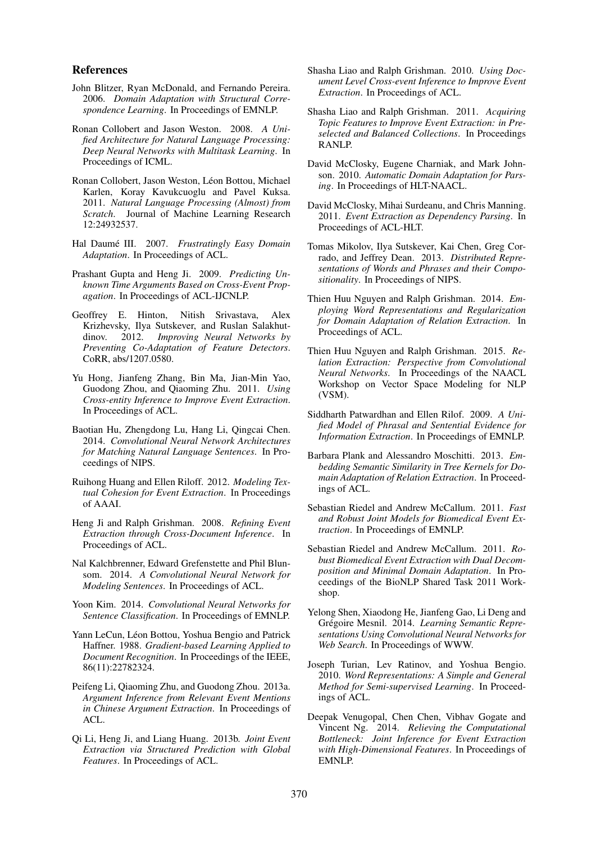#### References

- John Blitzer, Ryan McDonald, and Fernando Pereira. 2006. *Domain Adaptation with Structural Correspondence Learning*. In Proceedings of EMNLP.
- Ronan Collobert and Jason Weston. 2008. *A Unified Architecture for Natural Language Processing: Deep Neural Networks with Multitask Learning*. In Proceedings of ICML.
- Ronan Collobert, Jason Weston, Léon Bottou, Michael Karlen, Koray Kavukcuoglu and Pavel Kuksa. 2011. *Natural Language Processing (Almost) from Scratch*. Journal of Machine Learning Research 12:24932537.
- Hal Daumé III. 2007. Frustratingly Easy Domain *Adaptation*. In Proceedings of ACL.
- Prashant Gupta and Heng Ji. 2009. *Predicting Unknown Time Arguments Based on Cross-Event Propagation*. In Proceedings of ACL-IJCNLP.
- Geoffrey E. Hinton, Nitish Srivastava, Alex Krizhevsky, Ilya Sutskever, and Ruslan Salakhutdinov. 2012. *Improving Neural Networks by Preventing Co-Adaptation of Feature Detectors*. CoRR, abs/1207.0580.
- Yu Hong, Jianfeng Zhang, Bin Ma, Jian-Min Yao, Guodong Zhou, and Qiaoming Zhu. 2011. *Using Cross-entity Inference to Improve Event Extraction*. In Proceedings of ACL.
- Baotian Hu, Zhengdong Lu, Hang Li, Qingcai Chen. 2014. *Convolutional Neural Network Architectures for Matching Natural Language Sentences*. In Proceedings of NIPS.
- Ruihong Huang and Ellen Riloff. 2012. *Modeling Textual Cohesion for Event Extraction*. In Proceedings of AAAI.
- Heng Ji and Ralph Grishman. 2008. *Refining Event Extraction through Cross-Document Inference*. In Proceedings of ACL.
- Nal Kalchbrenner, Edward Grefenstette and Phil Blunsom. 2014. *A Convolutional Neural Network for Modeling Sentences*. In Proceedings of ACL.
- Yoon Kim. 2014. *Convolutional Neural Networks for Sentence Classification*. In Proceedings of EMNLP.
- Yann LeCun, Léon Bottou, Yoshua Bengio and Patrick Haffner. 1988. *Gradient-based Learning Applied to Document Recognition*. In Proceedings of the IEEE, 86(11):22782324.
- Peifeng Li, Qiaoming Zhu, and Guodong Zhou. 2013a. *Argument Inference from Relevant Event Mentions in Chinese Argument Extraction*. In Proceedings of ACL.
- Qi Li, Heng Ji, and Liang Huang. 2013b. *Joint Event Extraction via Structured Prediction with Global Features*. In Proceedings of ACL.
- Shasha Liao and Ralph Grishman. 2010. *Using Document Level Cross-event Inference to Improve Event Extraction*. In Proceedings of ACL.
- Shasha Liao and Ralph Grishman. 2011. *Acquiring Topic Features to Improve Event Extraction: in Preselected and Balanced Collections*. In Proceedings RANLP.
- David McClosky, Eugene Charniak, and Mark Johnson. 2010. *Automatic Domain Adaptation for Parsing*. In Proceedings of HLT-NAACL.
- David McClosky, Mihai Surdeanu, and Chris Manning. 2011. *Event Extraction as Dependency Parsing*. In Proceedings of ACL-HLT.
- Tomas Mikolov, Ilya Sutskever, Kai Chen, Greg Corrado, and Jeffrey Dean. 2013. *Distributed Representations of Words and Phrases and their Compositionality*. In Proceedings of NIPS.
- Thien Huu Nguyen and Ralph Grishman. 2014. *Employing Word Representations and Regularization for Domain Adaptation of Relation Extraction*. In Proceedings of ACL.
- Thien Huu Nguyen and Ralph Grishman. 2015. *Relation Extraction: Perspective from Convolutional Neural Networks*. In Proceedings of the NAACL Workshop on Vector Space Modeling for NLP (VSM).
- Siddharth Patwardhan and Ellen Rilof. 2009. *A Unified Model of Phrasal and Sentential Evidence for Information Extraction*. In Proceedings of EMNLP.
- Barbara Plank and Alessandro Moschitti. 2013. *Embedding Semantic Similarity in Tree Kernels for Domain Adaptation of Relation Extraction*. In Proceedings of ACL.
- Sebastian Riedel and Andrew McCallum. 2011. *Fast and Robust Joint Models for Biomedical Event Extraction*. In Proceedings of EMNLP.
- Sebastian Riedel and Andrew McCallum. 2011. *Robust Biomedical Event Extraction with Dual Decomposition and Minimal Domain Adaptation*. In Proceedings of the BioNLP Shared Task 2011 Workshop.
- Yelong Shen, Xiaodong He, Jianfeng Gao, Li Deng and Grégoire Mesnil. 2014. Learning Semantic Repre*sentations Using Convolutional Neural Networks for Web Search*. In Proceedings of WWW.
- Joseph Turian, Lev Ratinov, and Yoshua Bengio. 2010. *Word Representations: A Simple and General Method for Semi-supervised Learning*. In Proceedings of ACL.
- Deepak Venugopal, Chen Chen, Vibhav Gogate and Vincent Ng. 2014. *Relieving the Computational Bottleneck: Joint Inference for Event Extraction with High-Dimensional Features*. In Proceedings of EMNLP.